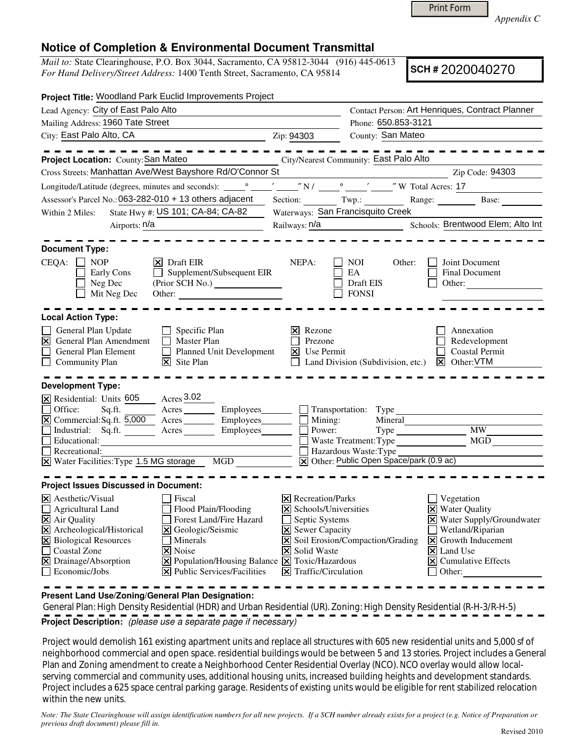Print Form

*Appendix C* 

## **Notice of Completion & Environmental Document Transmittal**

*Mail to:* State Clearinghouse, P.O. Box 3044, Sacramento, CA 95812-3044 (916) 445-0613 *For Hand Delivery/Street Address:* 1400 Tenth Street, Sacramento, CA 95814

**SCH #** 2020040270

| Project Title: Woodland Park Euclid Improvements Project                                                                                                                        |                                                    |                                               |                                                                          |                                                             |                                          |  |
|---------------------------------------------------------------------------------------------------------------------------------------------------------------------------------|----------------------------------------------------|-----------------------------------------------|--------------------------------------------------------------------------|-------------------------------------------------------------|------------------------------------------|--|
| Lead Agency: City of East Palo Alto                                                                                                                                             |                                                    |                                               | Contact Person: Art Henriques, Contract Planner                          |                                                             |                                          |  |
| Mailing Address: 1960 Tate Street                                                                                                                                               |                                                    |                                               | Phone: 650.853-3121                                                      |                                                             |                                          |  |
| City: East Palo Alto, CA<br><u> 1990 - Johann Barbara, martin a</u>                                                                                                             |                                                    | Zip: 94303                                    | County: San Mateo                                                        |                                                             |                                          |  |
|                                                                                                                                                                                 |                                                    |                                               |                                                                          |                                                             |                                          |  |
| Project Location: County: San Mateo                                                                                                                                             | City/Nearest Community: East Palo Alto             |                                               |                                                                          |                                                             |                                          |  |
| Cross Streets: Manhattan Ave/West Bayshore Rd/O'Connor St                                                                                                                       |                                                    |                                               |                                                                          |                                                             | Zip Code: 94303                          |  |
| Longitude/Latitude (degrees, minutes and seconds): ______________________________                                                                                               |                                                    |                                               | $\sqrt{N/1 - N}$ N/ $\frac{1}{\sqrt{N}}$ $\frac{N}{N}$ W Total Acres: 17 |                                                             |                                          |  |
| Assessor's Parcel No.: 063-282-010 + 13 others adjacent                                                                                                                         |                                                    |                                               |                                                                          |                                                             | Section: Twp.: Range: Base: Base:        |  |
| State Hwy #: US 101; CA-84; CA-82<br>Within 2 Miles:                                                                                                                            |                                                    |                                               | Waterways: San Francisquito Creek                                        |                                                             |                                          |  |
| Airports: n/a                                                                                                                                                                   |                                                    |                                               |                                                                          |                                                             | Schools: Brentwood Elem; Alto Int        |  |
|                                                                                                                                                                                 |                                                    |                                               |                                                                          |                                                             |                                          |  |
| <b>Document Type:</b>                                                                                                                                                           |                                                    |                                               |                                                                          |                                                             |                                          |  |
| CEQA: □ NOP                                                                                                                                                                     | $ \mathbf{X} $ Draft EIR                           | NEPA:                                         | NOI.                                                                     | Other:                                                      | Joint Document                           |  |
| Early Cons                                                                                                                                                                      | $\Box$ Supplement/Subsequent EIR                   |                                               | EA                                                                       |                                                             | Final Document                           |  |
| Neg Dec<br>Mit Neg Dec                                                                                                                                                          | (Prior SCH No.)                                    |                                               | Draft EIS<br><b>FONSI</b>                                                |                                                             | Other:                                   |  |
|                                                                                                                                                                                 |                                                    |                                               |                                                                          |                                                             |                                          |  |
| <b>Local Action Type:</b>                                                                                                                                                       |                                                    |                                               |                                                                          |                                                             |                                          |  |
| General Plan Update<br>$\Box$                                                                                                                                                   | Specific Plan                                      | Rezone<br>Ι×Ι                                 |                                                                          |                                                             | Annexation                               |  |
| $\overline{\mathbf{x}}$<br>П<br>General Plan Amendment                                                                                                                          | Prezone                                            |                                               |                                                                          | Redevelopment                                               |                                          |  |
| $\Box$<br>General Plan Element<br>П                                                                                                                                             | <b>Master Plan</b><br>Planned Unit Development     |                                               |                                                                          | $\overline{\mathsf{x}}$ Use Permit<br><b>Coastal Permit</b> |                                          |  |
| Community Plan                                                                                                                                                                  | $\overline{\mathsf{x}}$ Site Plan                  |                                               | Land Division (Subdivision, etc.) $\boxed{\times}$ Other: VTM            |                                                             |                                          |  |
|                                                                                                                                                                                 |                                                    |                                               |                                                                          |                                                             |                                          |  |
| <b>Development Type:</b>                                                                                                                                                        |                                                    |                                               |                                                                          |                                                             |                                          |  |
| X Residential: Units 605                                                                                                                                                        | $\frac{\text{A} \cdot \text{A} \cdot \text{A}}{1}$ |                                               |                                                                          |                                                             |                                          |  |
| Sq.fit.<br>Office:                                                                                                                                                              | Acres Employees                                    |                                               | Transportation: Type                                                     |                                                             |                                          |  |
| $\boxtimes$ Commercial: Sq.ft. 5,000<br>Industrial: Sq.ft.                                                                                                                      | Acres Employees<br>Employees________               | $\Box$ Mining:<br>Mineral<br>Power:           |                                                                          |                                                             | <b>MW</b>                                |  |
| Educational:                                                                                                                                                                    |                                                    | $\mathsf{I}$                                  |                                                                          |                                                             | MGD                                      |  |
| <u> 1989 - Johann Barn, mars an t-Amerikaansk politiker (</u><br>Recreational:                                                                                                  |                                                    |                                               | Waste Treatment: Type<br>Hazardous Waste: Type                           |                                                             |                                          |  |
| $\overline{X}$ Water Facilities: Type 1.5 MG storage MGD                                                                                                                        |                                                    |                                               | X Other: Public Open Space/park (0.9 ac)                                 |                                                             |                                          |  |
|                                                                                                                                                                                 |                                                    |                                               |                                                                          |                                                             |                                          |  |
| <b>Project Issues Discussed in Document:</b>                                                                                                                                    |                                                    |                                               |                                                                          |                                                             |                                          |  |
| <b>X</b> Aesthetic/Visual                                                                                                                                                       | Fiscal                                             | <b>X</b> Recreation/Parks                     |                                                                          | Vegetation                                                  |                                          |  |
| $\Box$ Agricultural Land                                                                                                                                                        | Flood Plain/Flooding                               | X Schools/Universities                        |                                                                          | <b>X</b> Water Quality                                      |                                          |  |
| $\Xi$ Air Quality                                                                                                                                                               | Forest Land/Fire Hazard                            |                                               | Septic Systems                                                           |                                                             | X Water Supply/Groundwater               |  |
| X Archeological/Historical                                                                                                                                                      | X Geologic/Seismic                                 |                                               | X Sewer Capacity                                                         |                                                             | Wetland/Riparian                         |  |
| X Biological Resources                                                                                                                                                          | Minerals                                           |                                               | X Soil Erosion/Compaction/Grading                                        |                                                             | $\vert\mathbf{X}\vert$ Growth Inducement |  |
| Coastal Zone<br>$ \mathsf{X} $ Noise                                                                                                                                            |                                                    | <b>X</b> Solid Waste                          | $ \mathsf{X} $ Land Use                                                  |                                                             |                                          |  |
| $\boxed{\mathsf{X}}$ Population/Housing Balance $\boxed{\mathsf{X}}$ Toxic/Hazardous<br>$\boxtimes$ Drainage/Absorption<br>$ \mathbf{\overline{X}} $ Public Services/Facilities |                                                    |                                               |                                                                          |                                                             | $\boxed{\mathsf{X}}$ Cumulative Effects  |  |
| $\Box$ Economic/Jobs                                                                                                                                                            |                                                    | $ \mathbf{\overline{X}} $ Traffic/Circulation |                                                                          |                                                             | $\Box$ Other:                            |  |

**Present Land Use/Zoning/General Plan Designation:**

 General Plan: High Density Residential (HDR) and Urban Residential (UR). Zoning: High Density Residential (R-H-3/R-H-5) **Project Description:** (please use a separate page if necessary)

 Project would demolish 161 existing apartment units and replace all structures with 605 new residential units and 5,000 sf of neighborhood commercial and open space. residential buildings would be between 5 and 13 stories. Project includes a General Plan and Zoning amendment to create a Neighborhood Center Residential Overlay (NCO). NCO overlay would allow localserving commercial and community uses, additional housing units, increased building heights and development standards. Project includes a 625 space central parking garage. Residents of existing units would be eligible for rent stabilized relocation within the new units.

*Note: The State Clearinghouse will assign identification numbers for all new projects. If a SCH number already exists for a project (e.g. Notice of Preparation or previous draft document) please fill in.*